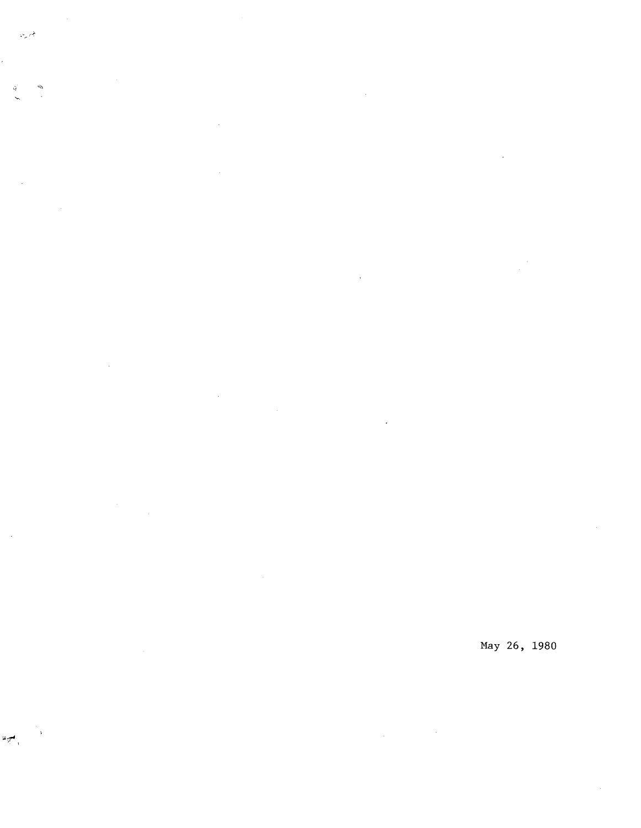المجرين

 $\mathcal{L}_{\mathcal{A}}$  $\tilde{Q}$ 

 $\bar{z}$ 

أنسجاه

 $\ddot{\phantom{a}}$ 

 $\bar{z}$ 

May 26, 1980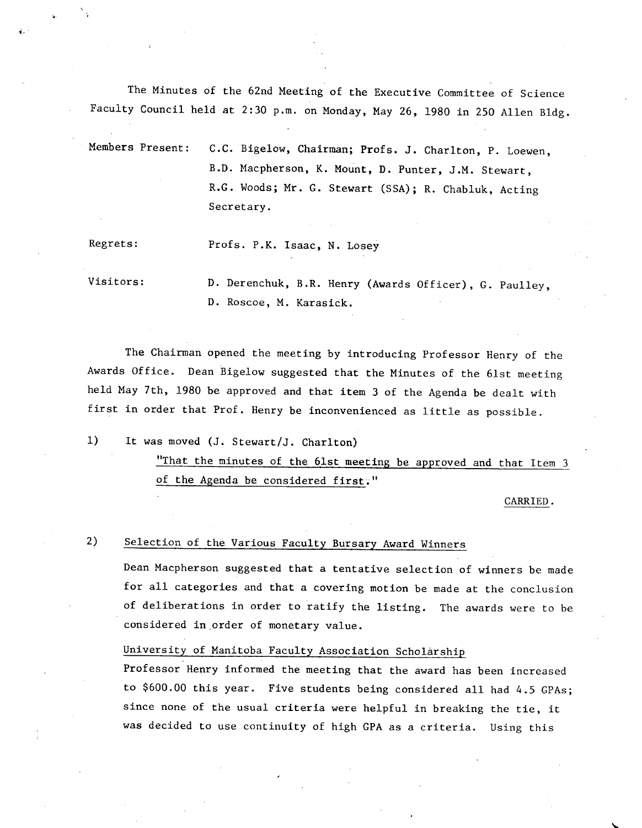The Minutes of the 62nd Meeting of the Executive Committee of Science Faculty Council held at 2:30 p.m. on Monday, May 26, 1980 in 250 Allen Bldg.

Members Present: C.C. Bigelow, Chairman; Profs. J. Charlton, P. Loewen, B.D. Macpherson, K. Mount, D. Punter, J.M. Stewart, R.G. Woods; Mr. G. Stewart (SSA); R. Chabluk, Acting Secretary.

Regrets: Profs. P.K. Isaac, N. Losey

Visitors: D. Derenchuk, B.R. Henry (Awards Officer), G. Paulley, D. Roscoe, M. Karasick.

The Chairman opened the meeting by introducing Professor Henry of the Awards Office. Dean Bigelow suggested that the Minutes of the 61st meeting held May 7th, 1980 be approved and that item 3 of the Agenda be dealt with first in order that Prof. Henry be inconvenienced as little as possible.

 $1)$ It was moved (J. Stewart/J. Charlton)

> "That the minutes of the 61st meeting be approved and that Item 3 of the Agenda be considered first."

> > CARRIED.

2) Selection of the Various Faculty Bursary Award Winners

Dean Macpherson suggested that a tentative selection of winners be made for all categories and that a covering motion be made at the conclusion of deliberations in order to ratify the listing. The awards were to be considered in order of monetary value.

# University of Manitoba Faculty Association Scholarship

Professor Henry informed the meeting that the award has been increased to \$600.00 this year. Five students being considered all had 4.5 GPAs; since none of the usual criteria were helpful in breaking the tie, it was decided to use continuity of high GPA as a criteria. Using this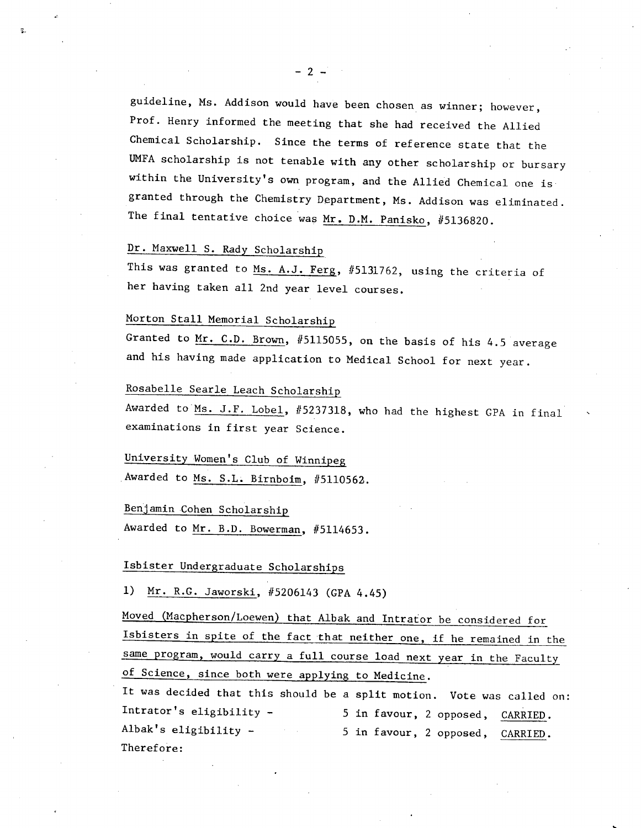guideline, Ms. Addison would have been chosen as winner; however, Prof. Henry informed the meeting that she had received the Allied Chemical Scholarship. Since the terms of reference state that the UMFA scholarship is not tenable with any other scholarship or bursary within the University's own program, and the Allied Chemical one is granted through the Chemistry Department, Ms. Addison was eliminated. The final tentative choice was Mr. D.M. Panisko, #5136820.

#### Dr. Maxwell S. Rady Scholarship

This was granted to Ms. A.J. Ferg, #5131762, using the criteria of her having taken all 2nd year level courses.

# Morton Stall Memorial Scholarshi

Granted to Mr. C.D. Brown, #5115055, on the basis of his 4.5 average and his having made application to Medical School for next year.

# Rosabelle Searle Leach Scholarshi

Awarded to Ms. J.F. Lobel, #5237318, who had the highest GPA in final examinations in first year Science.

University Women's Club of Winnipeg Awarded to Ms. S.L.Birnboim, #5110562.

Benjamin Cohen Scholarship Awarded to Mr. B.D. Bowerman. #5114653.

# Isbister Undergraduate Scholarships

1) Mr. R.G. Jaworski, #5206143 (GPA 4.45)

Moved (Macpherson/Loewen) that Albak and Intrator be considered for Isbisters in spite of the fact that neither one, if he remained in the same program, would carry a full course load next year in the Faculty of Science, since both were applying to Medicine.

It was decided that this should be a split motion. Vote was called on: Intrator's eligibility - 5 in favour, 2 opposed, CARRIED. Albak's eligibility - 5 in favour, 2 opposed, CARRIED. Therefore: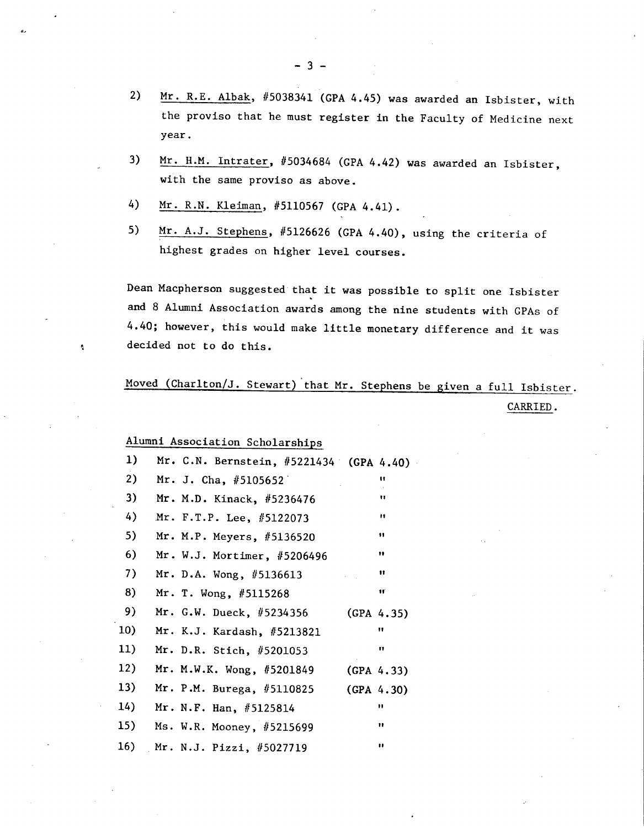- $2)$ Mr. R.E. Albak, #5038341 (GPA 4.45) was awarded an Isbister, with the proviso that he must register in the Faculty of Medicine next year.
- Mr. H.M. Intrater, #5034684 (GPA 4.42) was awarded an Isbister,  $3)$ with the same proviso as above.
- 4) Mr. R.N. Kleiman, #5110567 (GPA 4.41).
- $5)$ Mr. A.J. Stephens, #5126626 (GPA 4.40), using the criteria of highest grades on higher level courses.

Dean Macpherson suggested that it was possible to split one Isbister and 8 Alumni Association awards among the nine students with GPAs of 4.40; however, this would make little monetary difference and it was decided not to do this.

# Moved (Charlton/J. Stewart) that Mr. Stephens be given a full Isbister. CARRIED.

Alumni Association Scholarships

 $\mathbf{e}$ 

| 1)  | Mr. C.N. Bernstein, #5221434 (GPA 4.40) |                      |
|-----|-----------------------------------------|----------------------|
| 2)  | Mr. J. Cha, $#5105652$                  | Ħ                    |
| 3)  | Mr. M.D. Kinack, #5236476               | Ħ                    |
| 4)  | Mr. F.T.P. Lee, #5122073                | n                    |
| 5)  | Mr. M.P. Meyers, #5136520               | 11.                  |
| 6)  | Mr. W.J. Mortimer, #5206496             | 11                   |
| 7)  | Mr. D.A. Wong, $#5136613$               | $^{\dagger}$         |
| 8)  | Mr. T. Wong, #5115268                   | Ħ                    |
| 9)  | Mr. G.W. Dueck, #5234356                | (CPA 4.35)           |
| 10) | Mr. K.J. Kardash, #5213821              | 11                   |
| 11) | Mr. D.R. Stich, #5201053                | Ħ                    |
| 12) | Mr. M.W.K. Wong, #5201849               | (CPA 4.33)           |
| 13) | Mr. P.M. Burega, #5110825               | (GPA 4.30)           |
| 14) | Mr. N.F. Han, $#5125814$                | $\pmb{\mathfrak{g}}$ |
| 15) | Ms. W.R. Mooney, #5215699               | n                    |
| 16) | Mr. N.J. Pizzi, #5027719                | $\mathbf{H}$         |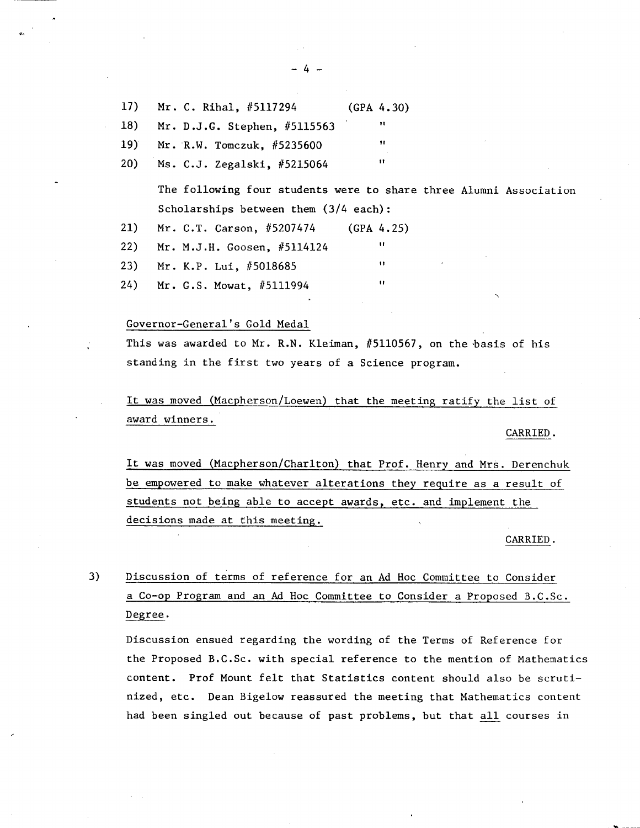$17)$ Mr. C. Rihal, #5117294 (GPA 4.30) Mr. D.J.G. Stephen, #5115563 **it**  18)  $19)$ Mr. R.W. Tomczuk, #5235600 **it**  Ms. C.J. Zegalski, #5215064 **it**   $20)$ 

> The following four students were to share three Alumni Association Scholarships between them (3/4 each):

> > $\mathbf{H}$

 $\mathbf{u}$ 

u

- 21) Mr. C.T. Carson, #5207474 (GPA 4.25)
- $22)$ Mr. M.J.H. Goosen, #5114124
- $23)$ Mr. K.P. Lui, #5018685
- $24)$ Mr. G.S. Mowat, #5111994

# Governor-General's Gold Medal

This was awarded to Mr. R.N. Kleiman, #5110567, on the basis of his standing in the first two years of a Science program.

It was moved (Macpherson/Loewen) that the meeting ratify the list of award winners.

CARRIED.

It was moved (Macpherson/Charlton) that Prof. Henry and Mrs. Derenchuk be empowered to make whatever alterations they require as a result of students not being able to accept awards, etc. and implement the decisions made at this meeting.

CARRIED.

3) Discussion of terms of reference for an Ad Hoc Committee to Consider a Co-op Program and an Ad Hoc Committee to Consider a Proposed B.C.Sc. Degree.

Discussion ensued regarding the wording of the Terms of Reference for the Proposed B.C.Sc. with special reference to the mention of Mathematics content. Prof Mount felt that Statistics content should also be scrutinized, etc. Dean Bigelow reassured the meeting that Mathematics content had been singled out because of past problems, but that all courses in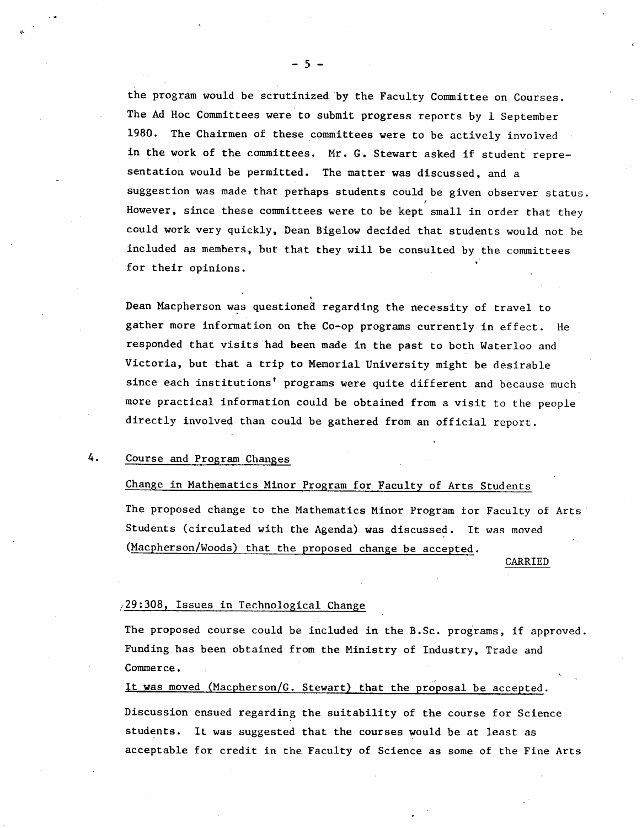the program would be scrutinized by the Faculty Committee on Courses. The Ad Hoc Committees were to submit progress reports by 1 September 1980. The Chairmen of these committees were to be actively involved in the work of the committees. Mr. G. Stewart asked if student representation would be permitted. The matter was discussed, and a suggestion was made that perhaps students could be given observer status. However, since these committees were to be kept small in order that they could work very quickly, Dean Bigelow decided that students would not be included as members, but that they will be consulted by the committees for their opinions.

Dean Macpherson was questioned regarding the necessity of travel to gather more information on the Co-op programs currently in effect. He responded that visits had been made in the past to both Waterloo and Victoria, but that a trip to Memorial University might be desirable since each institutions' programs were quite different and because much more practical information could be obtained from a visit to the people directly involved than could be gathered from an official report.

# 4. Course and Program Changes

#### Change in Mathematics Minor Program for Faculty of Arts Students

The proposed change to the Mathematics Minor Program for Faculty of Arts Students (circulated with the Agenda) was discussed. It was moved (Macpherson/Woods) that the proposed change be accepted.

CARRIED

#### $(29:308,$  Issues in Technological Change

The proposed course could be included in the B.Sc. programs, if approved. Funding has been obtained from the Ministry of Industry, Trade and Commerce.

It was moved (Macpherson/C. Stewart) that the proposal be accepted.

Discussion ensued regarding the suitability of the course for Science students. It was suggested that the courses would be at least as acceptable for credit in the Faculty of Science as some of the Fine Arts

-5-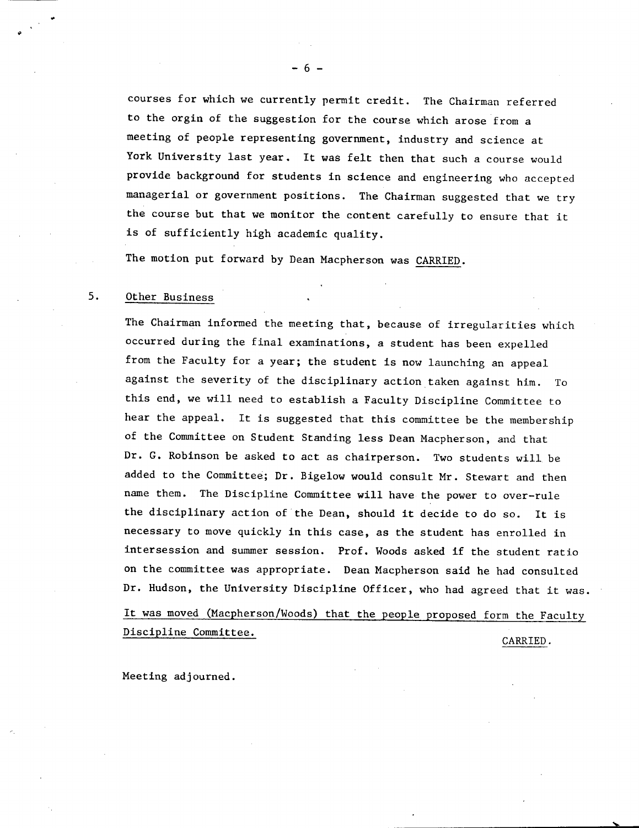courses for which we currently permit credit. The Chairman referred to the orgin of the suggestion for the course which arose from a meeting of people representing government, industry and science at York University last year. It was felt then that such a course would provide background for students in science and engineering who accepted managerial or government positions. The Chairman suggested that we try the course but that we monitor the content carefully to ensure that it is of sufficiently high academic quality.

The motion put forward by Dean Macpherson was CARRIED.

-6-

#### 5. Other Business

The Chairman informed the meeting that, because of irregularities which occurred during the final examinations, a student has been expelled from the Faculty for a year; the student is now launching an appeal against the severity of the disciplinary action taken against him. To this end, we will need to establish a Faculty Discipline Committee to hear the appeal. It is suggested that this committee be the membership of the Committee on Student Standing less Dean Macpherson, and that Dr. G. Robinson be asked to act as chairperson. Two students will be added to the Committee; Dr. Bigelow would consult Mr. Stewart and then name them. The Discipline Committee will have the power to over-rule the disciplinary action of the Dean, should it decide to do so. It is necessary to move quickly in this case, as the student has enrolled in intersession and summer session. Prof. Woods asked if the student ratio on the committee was appropriate. Dean Macpherson said he had consulted Dr. Hudson, the University Discipline Officer, who had agreed that it was.

It was moved (Macpherson/Woods) that the people proposed form the Faculty Discipline Committee.

CARRIED.

Meeting adjourned.